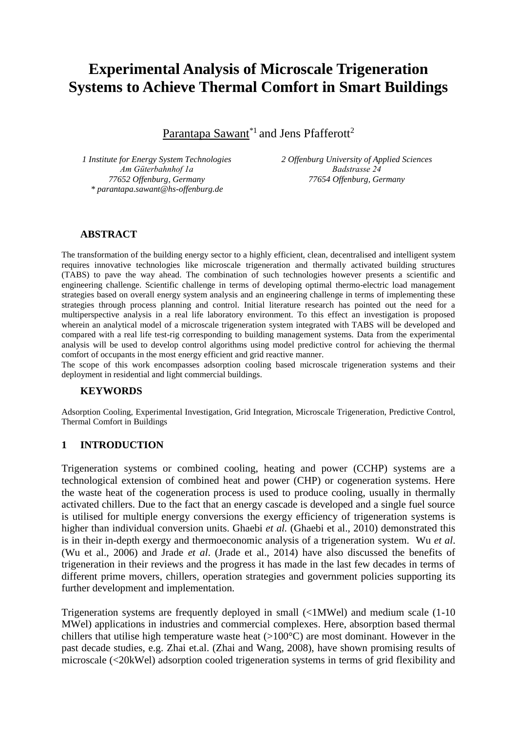# **Experimental Analysis of Microscale Trigeneration Systems to Achieve Thermal Comfort in Smart Buildings**

Parantapa Sawant<sup>\*1</sup> and Jens Pfafferott<sup>2</sup>

*1 Institute for Energy System Technologies Am Güterbahnhof 1a 77652 Offenburg, Germany \* parantapa.sawant@hs-offenburg.de*

*2 Offenburg University of Applied Sciences Badstrasse 24 77654 Offenburg, Germany*

### **ABSTRACT**

The transformation of the building energy sector to a highly efficient, clean, decentralised and intelligent system requires innovative technologies like microscale trigeneration and thermally activated building structures (TABS) to pave the way ahead. The combination of such technologies however presents a scientific and engineering challenge. Scientific challenge in terms of developing optimal thermo-electric load management strategies based on overall energy system analysis and an engineering challenge in terms of implementing these strategies through process planning and control. Initial literature research has pointed out the need for a multiperspective analysis in a real life laboratory environment. To this effect an investigation is proposed wherein an analytical model of a microscale trigeneration system integrated with TABS will be developed and compared with a real life test-rig corresponding to building management systems. Data from the experimental analysis will be used to develop control algorithms using model predictive control for achieving the thermal comfort of occupants in the most energy efficient and grid reactive manner.

The scope of this work encompasses adsorption cooling based microscale trigeneration systems and their deployment in residential and light commercial buildings.

#### **KEYWORDS**

Adsorption Cooling, Experimental Investigation, Grid Integration, Microscale Trigeneration, Predictive Control, Thermal Comfort in Buildings

#### **1 INTRODUCTION**

Trigeneration systems or combined cooling, heating and power (CCHP) systems are a technological extension of combined heat and power (CHP) or cogeneration systems. Here the waste heat of the cogeneration process is used to produce cooling, usually in thermally activated chillers. Due to the fact that an energy cascade is developed and a single fuel source is utilised for multiple energy conversions the exergy efficiency of trigeneration systems is higher than individual conversion units. Ghaebi *et al.* (Ghaebi et al., 2010) demonstrated this is in their in-depth exergy and thermoeconomic analysis of a trigeneration system. Wu *et al*. (Wu et al., 2006) and Jrade *et al*. (Jrade et al., 2014) have also discussed the benefits of trigeneration in their reviews and the progress it has made in the last few decades in terms of different prime movers, chillers, operation strategies and government policies supporting its further development and implementation.

Trigeneration systems are frequently deployed in small (<1MWel) and medium scale (1-10 MWel) applications in industries and commercial complexes. Here, absorption based thermal chillers that utilise high temperature waste heat  $(>100^{\circ}C)$  are most dominant. However in the past decade studies, e.g. Zhai et.al. (Zhai and Wang, 2008), have shown promising results of microscale (<20kWel) adsorption cooled trigeneration systems in terms of grid flexibility and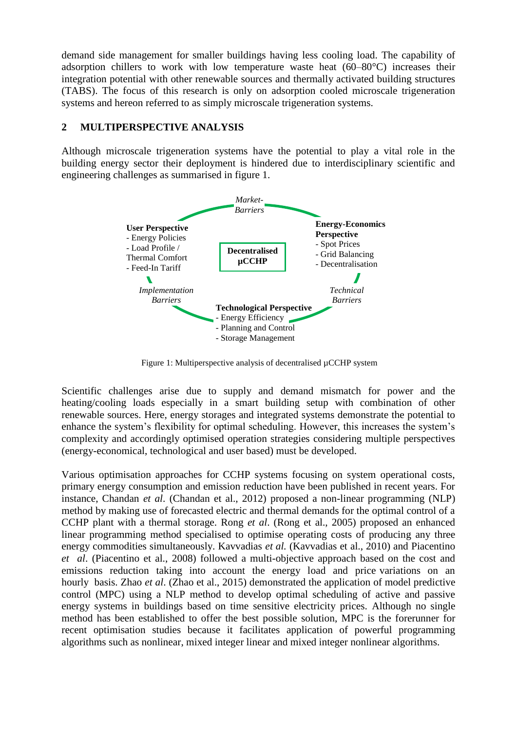demand side management for smaller buildings having less cooling load. The capability of adsorption chillers to work with low temperature waste heat (60–80°C) increases their integration potential with other renewable sources and thermally activated building structures (TABS). The focus of this research is only on adsorption cooled microscale trigeneration systems and hereon referred to as simply microscale trigeneration systems.

## **2 MULTIPERSPECTIVE ANALYSIS**

Although microscale trigeneration systems have the potential to play a vital role in the building energy sector their deployment is hindered due to interdisciplinary scientific and engineering challenges as summarised in figure 1.



Figure 1: Multiperspective analysis of decentralised µCCHP system

Scientific challenges arise due to supply and demand mismatch for power and the heating/cooling loads especially in a smart building setup with combination of other renewable sources. Here, energy storages and integrated systems demonstrate the potential to enhance the system's flexibility for optimal scheduling. However, this increases the system's complexity and accordingly optimised operation strategies considering multiple perspectives (energy-economical, technological and user based) must be developed.

Various optimisation approaches for CCHP systems focusing on system operational costs, primary energy consumption and emission reduction have been published in recent years. For instance, Chandan *et al*. (Chandan et al., 2012) proposed a non-linear programming (NLP) method by making use of forecasted electric and thermal demands for the optimal control of a CCHP plant with a thermal storage. Rong *et al*. (Rong et al., 2005) proposed an enhanced linear programming method specialised to optimise operating costs of producing any three energy commodities simultaneously. Kavvadias *et al.* (Kavvadias et al., 2010) and Piacentino *et al*. (Piacentino et al., 2008) followed a multi-objective approach based on the cost and emissions reduction taking into account the energy load and price variations on an hourly basis. Zhao *et al*. (Zhao et al., 2015) demonstrated the application of model predictive control (MPC) using a NLP method to develop optimal scheduling of active and passive energy systems in buildings based on time sensitive electricity prices. Although no single method has been established to offer the best possible solution, MPC is the forerunner for recent optimisation studies because it facilitates application of powerful programming algorithms such as nonlinear, mixed integer linear and mixed integer nonlinear algorithms.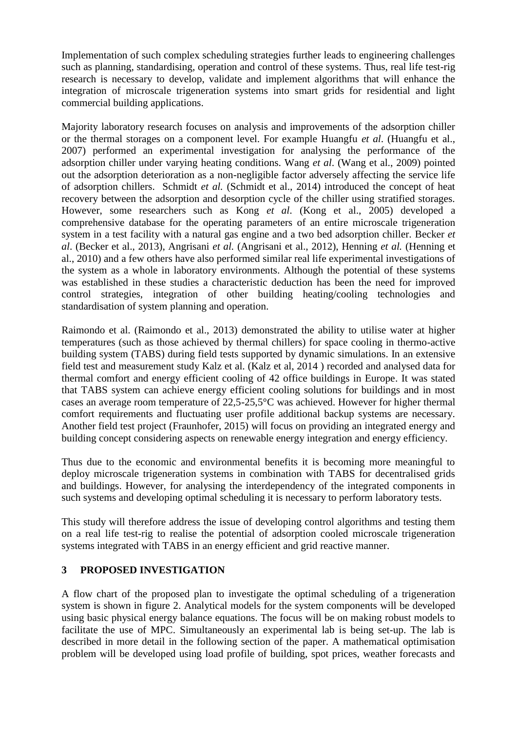Implementation of such complex scheduling strategies further leads to engineering challenges such as planning, standardising, operation and control of these systems. Thus, real life test-rig research is necessary to develop, validate and implement algorithms that will enhance the integration of microscale trigeneration systems into smart grids for residential and light commercial building applications.

Majority laboratory research focuses on analysis and improvements of the adsorption chiller or the thermal storages on a component level. For example Huangfu *et al*. (Huangfu et al., 2007) performed an experimental investigation for analysing the performance of the adsorption chiller under varying heating conditions. Wang *et al*. (Wang et al., 2009) pointed out the adsorption deterioration as a non-negligible factor adversely affecting the service life of adsorption chillers. Schmidt *et al.* (Schmidt et al., 2014) introduced the concept of heat recovery between the adsorption and desorption cycle of the chiller using stratified storages. However, some researchers such as Kong *et al*. (Kong et al., 2005) developed a comprehensive database for the operating parameters of an entire microscale trigeneration system in a test facility with a natural gas engine and a two bed adsorption chiller. Becker *et al*. (Becker et al., 2013), Angrisani *et al.* (Angrisani et al., 2012), Henning *et al.* (Henning et al., 2010) and a few others have also performed similar real life experimental investigations of the system as a whole in laboratory environments. Although the potential of these systems was established in these studies a characteristic deduction has been the need for improved control strategies, integration of other building heating/cooling technologies and standardisation of system planning and operation.

Raimondo et al. (Raimondo et al., 2013) demonstrated the ability to utilise water at higher temperatures (such as those achieved by thermal chillers) for space cooling in thermo-active building system (TABS) during field tests supported by dynamic simulations. In an extensive field test and measurement study Kalz et al. (Kalz et al, 2014 ) recorded and analysed data for thermal comfort and energy efficient cooling of 42 office buildings in Europe. It was stated that TABS system can achieve energy efficient cooling solutions for buildings and in most cases an average room temperature of 22,5-25,5°C was achieved. However for higher thermal comfort requirements and fluctuating user profile additional backup systems are necessary. Another field test project (Fraunhofer, 2015) will focus on providing an integrated energy and building concept considering aspects on renewable energy integration and energy efficiency.

Thus due to the economic and environmental benefits it is becoming more meaningful to deploy microscale trigeneration systems in combination with TABS for decentralised grids and buildings. However, for analysing the interdependency of the integrated components in such systems and developing optimal scheduling it is necessary to perform laboratory tests.

This study will therefore address the issue of developing control algorithms and testing them on a real life test-rig to realise the potential of adsorption cooled microscale trigeneration systems integrated with TABS in an energy efficient and grid reactive manner.

## **3 PROPOSED INVESTIGATION**

A flow chart of the proposed plan to investigate the optimal scheduling of a trigeneration system is shown in figure 2. Analytical models for the system components will be developed using basic physical energy balance equations. The focus will be on making robust models to facilitate the use of MPC. Simultaneously an experimental lab is being set-up. The lab is described in more detail in the following section of the paper. A mathematical optimisation problem will be developed using load profile of building, spot prices, weather forecasts and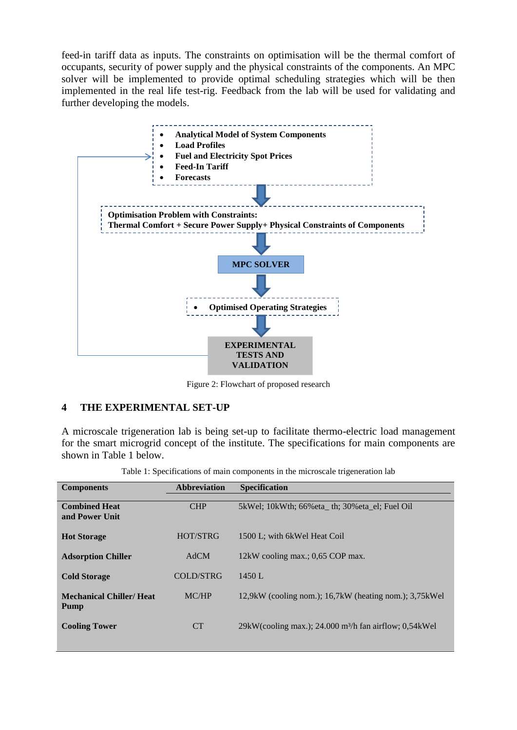feed-in tariff data as inputs. The constraints on optimisation will be the thermal comfort of occupants, security of power supply and the physical constraints of the components. An MPC solver will be implemented to provide optimal scheduling strategies which will be then implemented in the real life test-rig. Feedback from the lab will be used for validating and further developing the models.



Figure 2: Flowchart of proposed research

#### **4 THE EXPERIMENTAL SET-UP**

A microscale trigeneration lab is being set-up to facilitate thermo-electric load management for the smart microgrid concept of the institute. The specifications for main components are shown in Table 1 below.

| <b>Abbreviation</b> | <b>Specification</b>                                               |
|---------------------|--------------------------------------------------------------------|
|                     |                                                                    |
| <b>CHP</b>          | 5kWel; 10kWth; 66%eta th; 30%eta el; Fuel Oil                      |
|                     |                                                                    |
|                     |                                                                    |
| <b>HOT/STRG</b>     | 1500 L; with 6kWel Heat Coil                                       |
|                     |                                                                    |
|                     | 12kW cooling max.; 0,65 COP max.                                   |
|                     |                                                                    |
|                     | 1450 L                                                             |
|                     |                                                                    |
|                     | 12,9kW (cooling nom.); 16,7kW (heating nom.); 3,75kWel             |
|                     |                                                                    |
|                     |                                                                    |
|                     |                                                                    |
|                     | 29kW(cooling max.); 24.000 m <sup>3</sup> /h fan airflow; 0,54kWel |
|                     |                                                                    |
|                     | AdCM<br>COLD/STRG<br>MC/HP<br><b>CT</b>                            |

|  | Table 1: Specifications of main components in the microscale trigeneration lab |  |  |  |
|--|--------------------------------------------------------------------------------|--|--|--|
|  |                                                                                |  |  |  |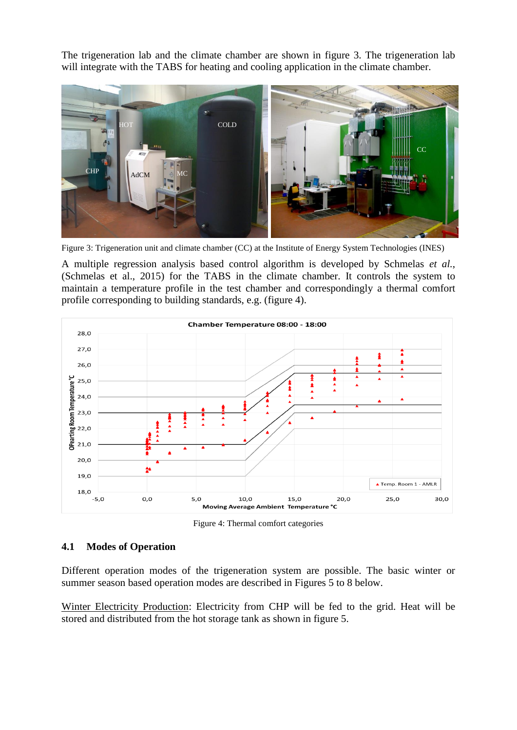The trigeneration lab and the climate chamber are shown in figure 3. The trigeneration lab will integrate with the TABS for heating and cooling application in the climate chamber.



Figure 3: Trigeneration unit and climate chamber (CC) at the Institute of Energy System Technologies (INES)

A multiple regression analysis based control algorithm is developed by Schmelas *et al.*, (Schmelas et al., 2015) for the TABS in the climate chamber. It controls the system to maintain a temperature profile in the test chamber and correspondingly a thermal comfort profile corresponding to building standards, e.g. (figure 4).



Figure 4: Thermal comfort categories

## **4.1 Modes of Operation**

Different operation modes of the trigeneration system are possible. The basic winter or summer season based operation modes are described in Figures 5 to 8 below.

Winter Electricity Production: Electricity from CHP will be fed to the grid. Heat will be stored and distributed from the hot storage tank as shown in figure 5.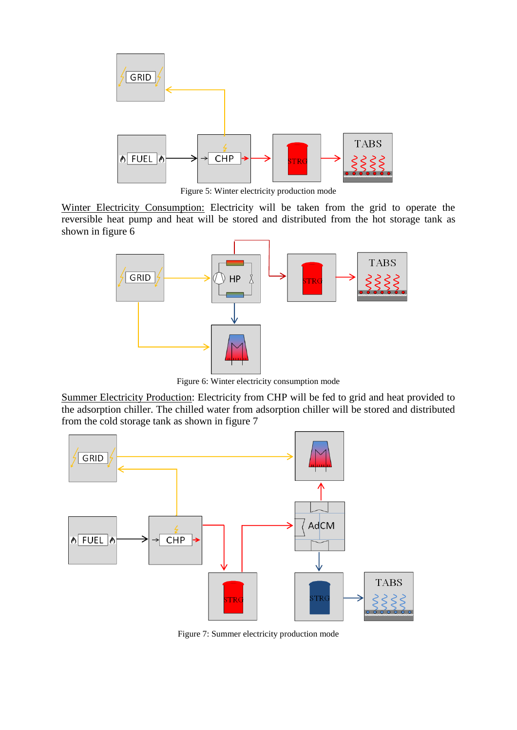

Figure 5: Winter electricity production mode

Winter Electricity Consumption: Electricity will be taken from the grid to operate the reversible heat pump and heat will be stored and distributed from the hot storage tank as shown in figure 6



Figure 6: Winter electricity consumption mode

Summer Electricity Production: Electricity from CHP will be fed to grid and heat provided to the adsorption chiller. The chilled water from adsorption chiller will be stored and distributed from the cold storage tank as shown in figure 7



Figure 7: Summer electricity production mode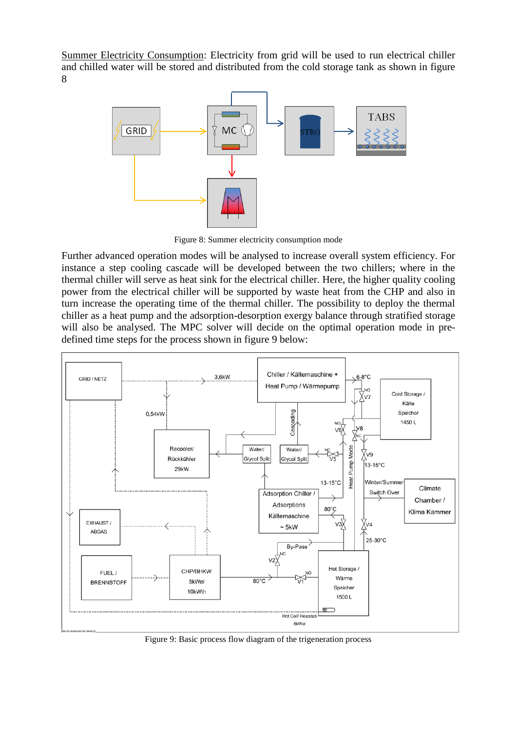Summer Electricity Consumption: Electricity from grid will be used to run electrical chiller and chilled water will be stored and distributed from the cold storage tank as shown in figure 8



Figure 8: Summer electricity consumption mode

Further advanced operation modes will be analysed to increase overall system efficiency. For instance a step cooling cascade will be developed between the two chillers; where in the thermal chiller will serve as heat sink for the electrical chiller. Here, the higher quality cooling power from the electrical chiller will be supported by waste heat from the CHP and also in turn increase the operating time of the thermal chiller. The possibility to deploy the thermal chiller as a heat pump and the adsorption-desorption exergy balance through stratified storage will also be analysed. The MPC solver will decide on the optimal operation mode in predefined time steps for the process shown in figure 9 below:



Figure 9: Basic process flow diagram of the trigeneration process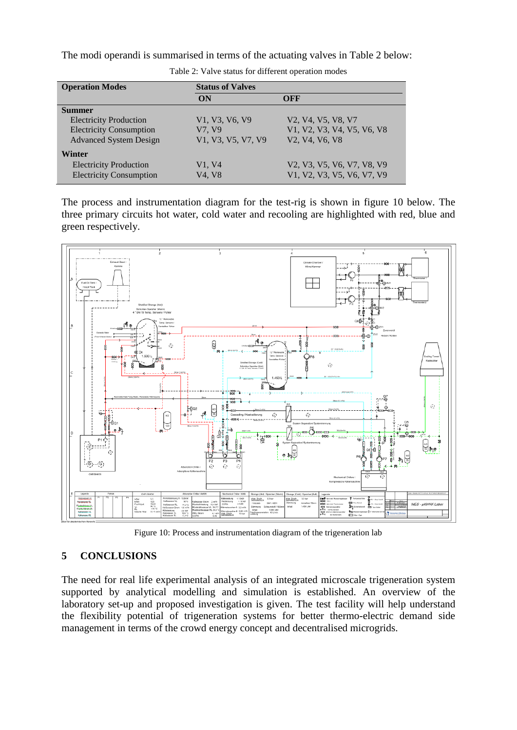The modi operandi is summarised in terms of the actuating valves in Table 2 below:

| <b>Operation Modes</b>         | <b>Status of Valves</b> |                                                                   |  |  |
|--------------------------------|-------------------------|-------------------------------------------------------------------|--|--|
|                                | ON                      | OFF                                                               |  |  |
| <b>Summer</b>                  |                         |                                                                   |  |  |
| <b>Electricity Production</b>  | V1, V3, V6, V9          | V2, V4, V5, V8, V7                                                |  |  |
| <b>Electricity Consumption</b> | V7, V9                  | V1, V2, V3, V4, V5, V6, V8                                        |  |  |
| <b>Advanced System Design</b>  | V1, V3, V5, V7, V9      | V <sub>2</sub> , V <sub>4</sub> , V <sub>6</sub> , V <sub>8</sub> |  |  |
| <b>Winter</b>                  |                         |                                                                   |  |  |
| <b>Electricity Production</b>  | V1, V4                  | V2, V3, V5, V6, V7, V8, V9                                        |  |  |
| <b>Electricity Consumption</b> | V4. V8                  | V1, V2, V3, V5, V6, V7, V9                                        |  |  |

Table 2: Valve status for different operation modes

The process and instrumentation diagram for the test-rig is shown in figure 10 below. The three primary circuits hot water, cold water and recooling are highlighted with red, blue and green respectively.



Figure 10: Process and instrumentation diagram of the trigeneration lab

# **5 CONCLUSIONS**

The need for real life experimental analysis of an integrated microscale trigeneration system supported by analytical modelling and simulation is established. An overview of the laboratory set-up and proposed investigation is given. The test facility will help understand the flexibility potential of trigeneration systems for better thermo-electric demand side management in terms of the crowd energy concept and decentralised microgrids.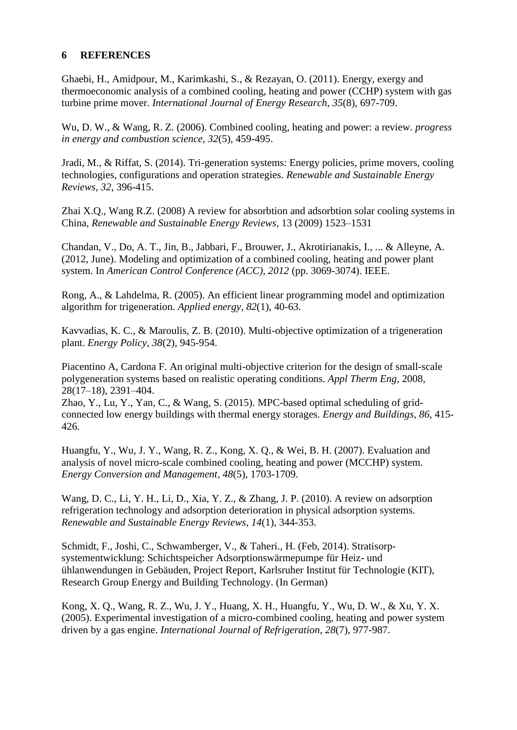### **6 REFERENCES**

Ghaebi, H., Amidpour, M., Karimkashi, S., & Rezayan, O. (2011). Energy, exergy and thermoeconomic analysis of a combined cooling, heating and power (CCHP) system with gas turbine prime mover. *International Journal of Energy Research*, *35*(8), 697-709.

Wu, D. W., & Wang, R. Z. (2006). Combined cooling, heating and power: a review. *progress in energy and combustion science*, *32*(5), 459-495.

Jradi, M., & Riffat, S. (2014). Tri-generation systems: Energy policies, prime movers, cooling technologies, configurations and operation strategies. *Renewable and Sustainable Energy Reviews*, *32*, 396-415.

Zhai X.Q., Wang R.Z. (2008) A review for absorbtion and adsorbtion solar cooling systems in China, *Renewable and Sustainable Energy Reviews,* 13 (2009) 1523–1531

Chandan, V., Do, A. T., Jin, B., Jabbari, F., Brouwer, J., Akrotirianakis, I., ... & Alleyne, A. (2012, June). Modeling and optimization of a combined cooling, heating and power plant system. In *American Control Conference (ACC), 2012* (pp. 3069-3074). IEEE.

Rong, A., & Lahdelma, R. (2005). An efficient linear programming model and optimization algorithm for trigeneration. *Applied energy*, *82*(1), 40-63.

Kavvadias, K. C., & Maroulis, Z. B. (2010). Multi-objective optimization of a trigeneration plant. *Energy Policy*, *38*(2), 945-954.

Piacentino A, Cardona F. An original multi-objective criterion for the design of small-scale polygeneration systems based on realistic operating conditions. *Appl Therm Eng,* 2008, 28(17–18), 2391–404.

Zhao, Y., Lu, Y., Yan, C., & Wang, S. (2015). MPC-based optimal scheduling of gridconnected low energy buildings with thermal energy storages. *Energy and Buildings*, *86*, 415- 426.

Huangfu, Y., Wu, J. Y., Wang, R. Z., Kong, X. Q., & Wei, B. H. (2007). Evaluation and analysis of novel micro-scale combined cooling, heating and power (MCCHP) system. *Energy Conversion and Management*, *48*(5), 1703-1709.

Wang, D. C., Li, Y. H., Li, D., Xia, Y. Z., & Zhang, J. P. (2010). A review on adsorption refrigeration technology and adsorption deterioration in physical adsorption systems. *Renewable and Sustainable Energy Reviews*, *14*(1), 344-353.

Schmidt, F., Joshi, C., Schwamberger, V., & Taheri., H. (Feb, 2014). Stratisorpsystementwicklung: Schichtspeicher Adsorptionswärmepumpe für Heiz- und ühlanwendungen in Gebäuden, Project Report, Karlsruher Institut für Technologie (KIT), Research Group Energy and Building Technology. (In German)

Kong, X. Q., Wang, R. Z., Wu, J. Y., Huang, X. H., Huangfu, Y., Wu, D. W., & Xu, Y. X. (2005). Experimental investigation of a micro-combined cooling, heating and power system driven by a gas engine. *International Journal of Refrigeration*, *28*(7), 977-987.